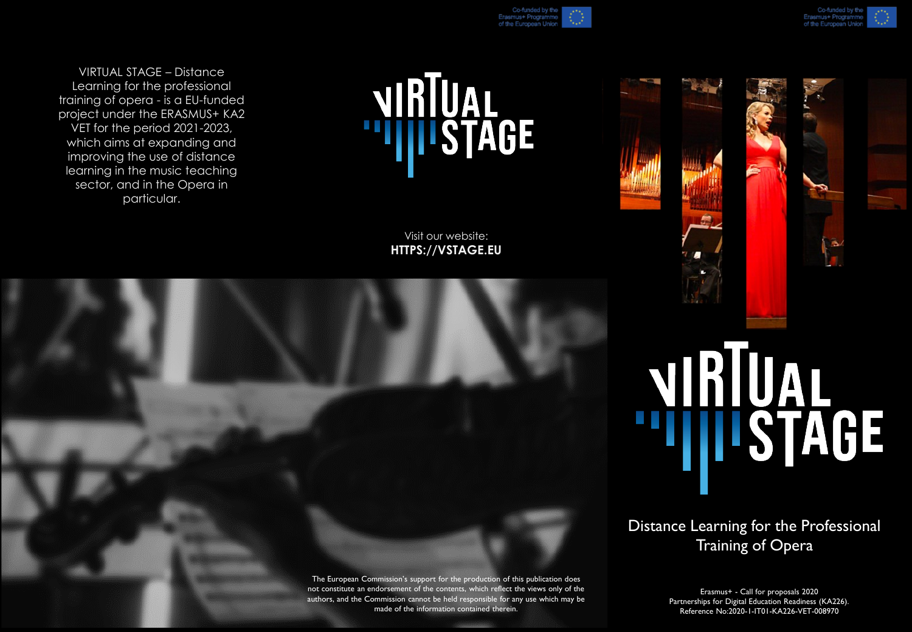

VIRTUAL STAGE – Distance Learning for the professional training of opera - is a EU-funded project under the ERASMUS+ KA2 VET for the period 2021-2023, which aims at expanding and improving the use of distance learning in the music teaching sector, and in the Opera in particular.



## Visit our website: **HTTPS://VSTAGE.EU**



+ Progra

## NIRTUAL

Distance Learning for the Professional Training of Opera

The European Commission's support for the production of this publication does not constitute an endorsement of the contents, which reflect the views only of the authors, and the Commission cannot be held responsible for any use which may be made of the information contained therein.

Erasmus+ - Call for proposals 2020 Partnerships for Digital Education Readiness (KA226). Reference No:2020-1-IT01-KA226-VET-008970